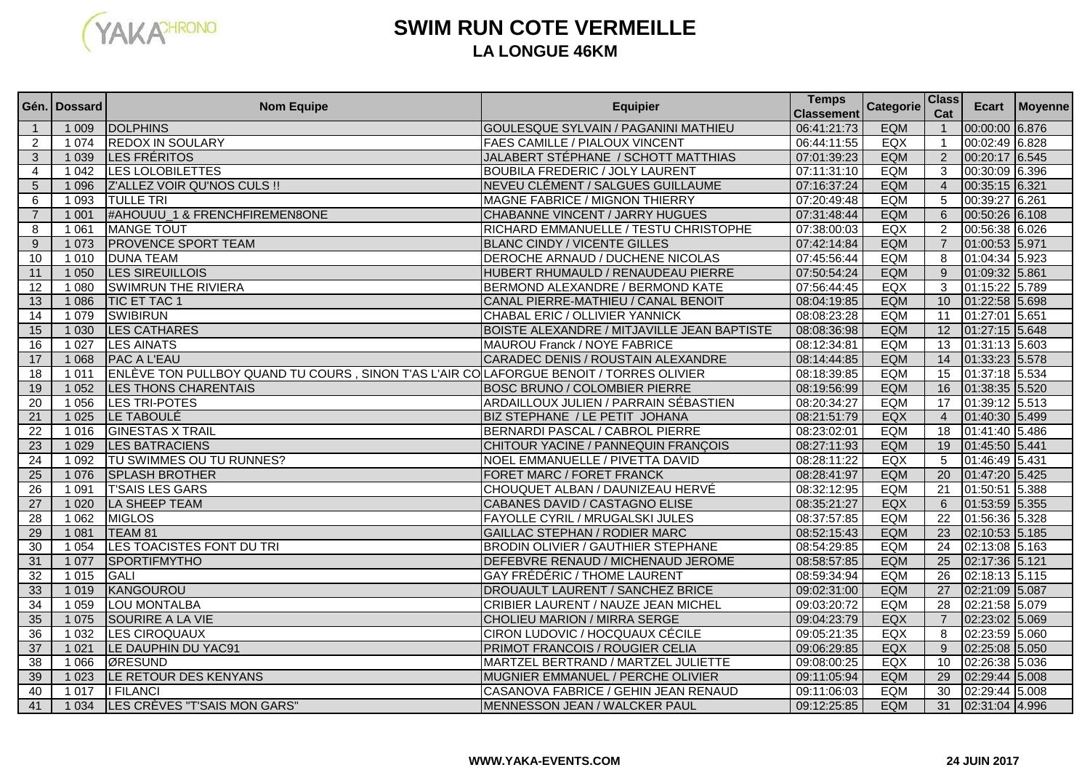

## **SWIM RUN COTE VERMEILLELA LONGUE 46KM**

|                 | Gén. I Dossard | <b>Nom Equipe</b>                                                                       | <b>Equipier</b>                             | <b>Temps</b><br><b>Classement</b> | <b>Categorie</b> | <b>Class</b><br>Cat     |                | Ecart   Moyenne |
|-----------------|----------------|-----------------------------------------------------------------------------------------|---------------------------------------------|-----------------------------------|------------------|-------------------------|----------------|-----------------|
|                 | 1 0 0 9        | <b>DOLPHINS</b>                                                                         | <b>GOULESQUE SYLVAIN / PAGANINI MATHIEU</b> | 06:41:21:73                       | <b>EQM</b>       | $\overline{\mathbf{1}}$ | 00:00:00 6.876 |                 |
| 2               | 1074           | <b>REDOX IN SOULARY</b>                                                                 | <b>FAES CAMILLE / PIALOUX VINCENT</b>       | 06:44:11:55                       | EQX              | $\overline{1}$          | 00:02:49 6.828 |                 |
| 3               | 1 0 3 9        | <b>LES FRÉRITOS</b>                                                                     | JALABERT STÉPHANE / SCHOTT MATTHIAS         | 07:01:39:23                       | <b>EQM</b>       | $\overline{2}$          | 00:20:17 6.545 |                 |
| $\overline{4}$  | 1 0 4 2        | <b>LES LOLOBILETTES</b>                                                                 | <b>BOUBILA FREDERIC / JOLY LAURENT</b>      | 07:11:31:10                       | <b>EQM</b>       | 3                       | 00:30:09 6.396 |                 |
| $5\phantom{.0}$ | 1 0 9 6        | Z'ALLEZ VOIR QU'NOS CULS !!                                                             | NEVEU CLÉMENT / SALGUES GUILLAUME           | 07:16:37:24                       | <b>EQM</b>       | $\overline{4}$          | 00:35:15 6.321 |                 |
| 6               | 1 0 9 3        | <b>TULLE TRI</b>                                                                        | <b>MAGNE FABRICE / MIGNON THIERRY</b>       | 07:20:49:48                       | <b>EQM</b>       | 5                       | 00:39:27 6.261 |                 |
| $\overline{7}$  | 1001           | #AHOUUU_1 & FRENCHFIREMEN8ONE                                                           | <b>CHABANNE VINCENT / JARRY HUGUES</b>      | 07:31:48:44                       | <b>EQM</b>       | 6                       | 00:50:26 6.108 |                 |
| 8               | 1 0 6 1        | <b>MANGE TOUT</b>                                                                       | RICHARD EMMANUELLE / TESTU CHRISTOPHE       | 07:38:00:03                       | EQX              | $\overline{2}$          | 00:56:38 6.026 |                 |
| 9               | 1 0 7 3        | <b>PROVENCE SPORT TEAM</b>                                                              | <b>BLANC CINDY / VICENTE GILLES</b>         | 07:42:14:84                       | <b>EQM</b>       | $\overline{7}$          | 01:00:53 5.971 |                 |
| 10              | 1010           | <b>DUNA TEAM</b>                                                                        | <b>DEROCHE ARNAUD / DUCHENE NICOLAS</b>     | 07:45:56:44                       | <b>EQM</b>       | 8                       | 01:04:34 5.923 |                 |
| 11              | 1050           | <b>LES SIREUILLOIS</b>                                                                  | HUBERT RHUMAULD / RENAUDEAU PIERRE          | 07:50:54:24                       | <b>EQM</b>       | 9                       | 01:09:32 5.861 |                 |
| 12              | 1 0 8 0        | <b>SWIMRUN THE RIVIERA</b>                                                              | BERMOND ALEXANDRE / BERMOND KATE            | 07:56:44:45                       | EQX              | 3                       | 01:15:22 5.789 |                 |
| 13              | 1 0 8 6        | <b>TIC ET TAC 1</b>                                                                     | CANAL PIERRE-MATHIEU / CANAL BENOIT         | 08:04:19:85                       | <b>EQM</b>       | 10                      | 01:22:58 5.698 |                 |
| 14              | 1 0 7 9        | <b>SWIBIRUN</b>                                                                         | CHABAL ERIC / OLLIVIER YANNICK              | 08:08:23:28                       | <b>EQM</b>       | 11                      | 01:27:01 5.651 |                 |
| 15              | 1 0 3 0        | <b>LES CATHARES</b>                                                                     | BOISTE ALEXANDRE / MITJAVILLE JEAN BAPTISTE | 08:08:36:98                       | <b>EQM</b>       | $\overline{12}$         | 01:27:15 5.648 |                 |
| 16              | 1 0 2 7        | LES AINATS                                                                              | MAUROU Franck / NOYE FABRICE                | 08:12:34:81                       | EQM              | 13                      | 01:31:13 5.603 |                 |
| 17              | 1 0 6 8        | <b>PAC A L'EAU</b>                                                                      | CARADEC DENIS / ROUSTAIN ALEXANDRE          | 08:14:44:85                       | EQM              | 14                      | 01:33:23 5.578 |                 |
| 18              | 1011           | ENLÈVE TON PULLBOY QUAND TU COURS , SINON T'AS L'AIR COLAFORGUE BENOIT / TORRES OLIVIER |                                             | 08:18:39:85                       | <b>EQM</b>       | 15                      | 01:37:18 5.534 |                 |
| 19              | 1 0 5 2        | LES THONS CHARENTAIS                                                                    | <b>BOSC BRUNO / COLOMBIER PIERRE</b>        | 08:19:56:99                       | <b>EQM</b>       | 16                      | 01:38:35 5.520 |                 |
| $\overline{20}$ | 1 0 5 6        | <b>LES TRI-POTES</b>                                                                    | ARDAILLOUX JULIEN / PARRAIN SÉBASTIEN       | 08:20:34:27                       | <b>EQM</b>       | $\overline{17}$         | 01:39:12 5.513 |                 |
| 21              | 1025           | LE TABOULÉ                                                                              | BIZ STEPHANE / LE PETIT JOHANA              | 08:21:51:79                       | EQX              | $\overline{4}$          | 01:40:30 5.499 |                 |
| $\overline{22}$ | 1016           | <b>GINESTAS X TRAIL</b>                                                                 | BERNARDI PASCAL / CABROL PIERRE             | 08:23:02:01                       | <b>EQM</b>       | 18                      | 01:41:40 5.486 |                 |
| 23              | 1 0 2 9        | <b>LES BATRACIENS</b>                                                                   | CHITOUR YACINE / PANNEQUIN FRANÇOIS         | 08:27:11:93                       | <b>EQM</b>       | 19                      | 01:45:50 5.441 |                 |
| 24              | 1 0 9 2        | TU SWIMMES OU TU RUNNES?                                                                | NOEL EMMANUELLE / PIVETTA DAVID             | 08:28:11:22                       | EQX              | 5                       | 01:46:49 5.431 |                 |
| 25              | 1 0 7 6        | <b>SPLASH BROTHER</b>                                                                   | FORET MARC / FORET FRANCK                   | 08:28:41:97                       | <b>EQM</b>       | $\overline{20}$         | 01:47:20 5.425 |                 |
| 26              | 1 0 9 1        | <b>T'SAIS LES GARS</b>                                                                  | CHOUQUET ALBAN / DAUNIZEAU HERVÉ            | 08:32:12:95                       | <b>EQM</b>       | $\overline{21}$         | 01:50:51 5.388 |                 |
| 27              | 1 0 20         | LA SHEEP TEAM                                                                           | CABANES DAVID / CASTAGNO ELISE              | 08:35:21:27                       | EQX              | 6                       | 01:53:59 5.355 |                 |
| 28              | 1 0 6 2        | <b>MIGLOS</b>                                                                           | <b>FAYOLLE CYRIL / MRUGALSKI JULES</b>      | 08:37:57:85                       | EQM              | $\overline{22}$         | 01:56:36 5.328 |                 |
| 29              | 1 0 8 1        | TEAM 81                                                                                 | <b>GAILLAC STEPHAN / RODIER MARC</b>        | 08:52:15:43                       | <b>EQM</b>       | 23                      | 02:10:53 5.185 |                 |
| 30              | 1 0 5 4        | LES TOACISTES FONT DU TRI                                                               | <b>BRODIN OLIVIER / GAUTHIER STEPHANE</b>   | 08:54:29:85                       | <b>EQM</b>       | $\overline{24}$         | 02:13:08 5.163 |                 |
| 31              | 1 0 7 7        | <b>SPORTIFMYTHO</b>                                                                     | DEFEBVRE RENAUD / MICHENAUD JEROME          | 08:58:57:85                       | <b>EQM</b>       | $\overline{25}$         | 02:17:36 5.121 |                 |
| $\overline{32}$ | 1015           | <b>GALI</b>                                                                             | <b>GAY FRÉDÉRIC / THOME LAURENT</b>         | 08:59:34:94                       | <b>EQM</b>       | $\overline{26}$         | 02:18:13 5.115 |                 |
| 33              | 1 0 1 9        | KANGOUROU                                                                               | DROUAULT LAURENT / SANCHEZ BRICE            | 09:02:31:00                       | <b>EQM</b>       | $\overline{27}$         | 02:21:09 5.087 |                 |
| 34              | 1 0 5 9        | <b>LOU MONTALBA</b>                                                                     | CRIBIER LAURENT / NAUZE JEAN MICHEL         | 09:03:20:72                       | <b>EQM</b>       | 28                      | 02:21:58 5.079 |                 |
| 35              | 1 0 7 5        | SOURIRE A LA VIE                                                                        | <b>CHOLIEU MARION / MIRRA SERGE</b>         | 09:04:23:79                       | <b>EQX</b>       | $\overline{7}$          | 02:23:02 5.069 |                 |
| 36              | 1032           | <b>LES CIROQUAUX</b>                                                                    | CIRON LUDOVIC / HOCQUAUX CÉCILE             | 09:05:21:35                       | EQX              | 8                       | 02:23:59 5.060 |                 |
| $\overline{37}$ | 1021           | LE DAUPHIN DU YAC91                                                                     | PRIMOT FRANCOIS / ROUGIER CELIA             | 09:06:29:85                       | EQX              | 9                       | 02:25:08 5.050 |                 |
| $\overline{38}$ | 1 0 6 6        | ØRESUND                                                                                 | MARTZEL BERTRAND / MARTZEL JULIETTE         | 09:08:00:25                       | EQX              | 10                      | 02:26:38 5.036 |                 |
| 39              | 1 0 2 3        | LE RETOUR DES KENYANS                                                                   | MUGNIER EMMANUEL / PERCHE OLIVIER           | 09:11:05:94                       | <b>EQM</b>       | 29                      | 02:29:44 5.008 |                 |
| 40              | 1017           | <b>I FILANCI</b>                                                                        | CASANOVA FABRICE / GEHIN JEAN RENAUD        | 09:11:06:03                       | <b>EQM</b>       | 30                      | 02:29:44 5.008 |                 |
| 41              | 1 0 3 4        | LES CRÈVES "T'SAIS MON GARS"                                                            | MENNESSON JEAN / WALCKER PAUL               | 09:12:25:85                       | <b>EQM</b>       | 31                      | 02:31:04 4.996 |                 |

## **WWW.YAKA-EVENTS.COM**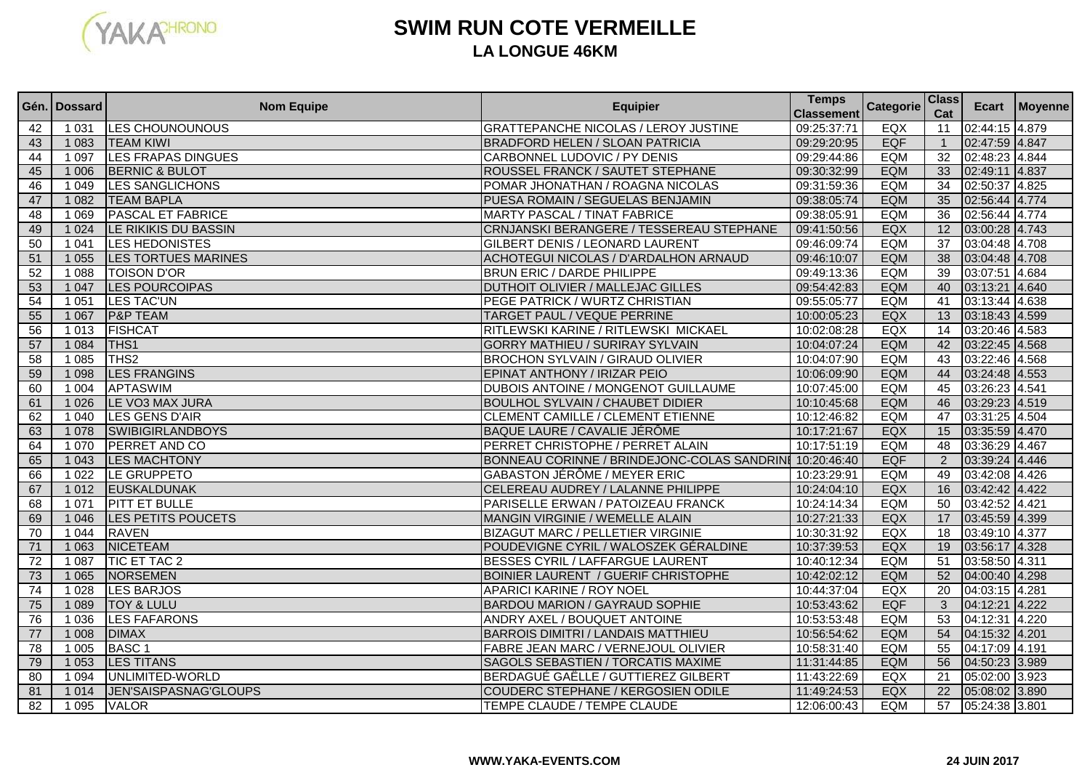

## **SWIM RUN COTE VERMEILLELA LONGUE 46KM**

|                 | Gén.   Dossard | <b>Nom Equipe</b>          | <b>Equipier</b>                                         | <b>Temps</b><br><b>Classement</b> | <b>Categorie</b> | <b>Class</b><br>Cat |                | Ecart   Moyenne |
|-----------------|----------------|----------------------------|---------------------------------------------------------|-----------------------------------|------------------|---------------------|----------------|-----------------|
| 42              | 1 0 3 1        | <b>LES CHOUNOUNOUS</b>     | <b>GRATTEPANCHE NICOLAS / LEROY JUSTINE</b>             | 09:25:37:71                       | EQX              | 11                  | 02:44:15 4.879 |                 |
| 43              | 1 0 8 3        | <b>TEAM KIWI</b>           | <b>BRADFORD HELEN / SLOAN PATRICIA</b>                  | 09:29:20:95                       | <b>EQF</b>       | $\overline{1}$      | 02:47:59 4.847 |                 |
| 44              | 1 0 9 7        | <b>LES FRAPAS DINGUES</b>  | CARBONNEL LUDOVIC / PY DENIS                            | 09:29:44:86                       | <b>EQM</b>       | $\overline{32}$     | 02:48:23 4.844 |                 |
| 45              | 1 0 0 6        | <b>BERNIC &amp; BULOT</b>  | ROUSSEL FRANCK / SAUTET STEPHANE                        | 09:30:32:99                       | <b>EQM</b>       | 33                  | 02:49:11 4.837 |                 |
| 46              | 1 0 4 9        | <b>LES SANGLICHONS</b>     | POMAR JHONATHAN / ROAGNA NICOLAS                        | 09:31:59:36                       | <b>EQM</b>       | 34                  | 02:50:37 4.825 |                 |
| 47              | 1 0 8 2        | <b>TEAM BAPLA</b>          | PUESA ROMAIN / SEGUELAS BENJAMIN                        | 09:38:05:74                       | <b>EQM</b>       | 35                  | 02:56:44 4.774 |                 |
| 48              | 1 0 6 9        | <b>PASCAL ET FABRICE</b>   | <b>MARTY PASCAL / TINAT FABRICE</b>                     | 09:38:05:91                       | <b>EQM</b>       | $\overline{36}$     | 02:56:44 4.774 |                 |
| 49              | 1 0 24         | LE RIKIKIS DU BASSIN       | CRNJANSKI BERANGERE / TESSEREAU STEPHANE                | 09:41:50:56                       | EQX              | $\overline{12}$     | 03:00:28 4.743 |                 |
| 50              | 1041           | LES HEDONISTES             | <b>GILBERT DENIS / LEONARD LAURENT</b>                  | 09:46:09:74                       | <b>EQM</b>       | $\overline{37}$     | 03:04:48 4.708 |                 |
| 51              | 1 0 5 5        | <b>LES TORTUES MARINES</b> | ACHOTEGUI NICOLAS / D'ARDALHON ARNAUD                   | 09:46:10:07                       | <b>EQM</b>       | $\overline{38}$     | 03:04:48 4.708 |                 |
| 52              | 1 0 8 8        | <b>TOISON D'OR</b>         | <b>BRUN ERIC / DARDE PHILIPPE</b>                       | 09:49:13:36                       | <b>EQM</b>       | 39                  | 03:07:51 4.684 |                 |
| 53              | 1 0 4 7        | <b>LES POURCOIPAS</b>      | <b>DUTHOIT OLIVIER / MALLEJAC GILLES</b>                | 09:54:42:83                       | <b>EQM</b>       | 40                  | 03:13:21 4.640 |                 |
| 54              | 1 0 5 1        | LES TAC'UN                 | PEGE PATRICK / WURTZ CHRISTIAN                          | 09:55:05:77                       | <b>EQM</b>       | 41                  | 03:13:44 4.638 |                 |
| 55              | 1 0 6 7        | <b>P&amp;P TEAM</b>        | <b>TARGET PAUL / VEQUE PERRINE</b>                      | 10:00:05:23                       | EQX              | $\overline{13}$     | 03:18:43 4.599 |                 |
| 56              | 1013           | <b>FISHCAT</b>             | RITLEWSKI KARINE / RITLEWSKI MICKAEL                    | 10:02:08:28                       | EQX              | 14                  | 03:20:46 4.583 |                 |
| 57              | 1 0 8 4        | THS <sub>1</sub>           | <b>GORRY MATHIEU / SURIRAY SYLVAIN</b>                  | 10:04:07:24                       | <b>EQM</b>       | 42                  | 03:22:45 4.568 |                 |
| 58              | 1 0 8 5        | TH <sub>S2</sub>           | BROCHON SYLVAIN / GIRAUD OLIVIER                        | 10:04:07:90                       | <b>EQM</b>       | 43                  | 03:22:46 4.568 |                 |
| 59              | 1 0 9 8        | <b>LES FRANGINS</b>        | EPINAT ANTHONY / IRIZAR PEIO                            | 10:06:09:90                       | <b>EQM</b>       | 44                  | 03:24:48 4.553 |                 |
| 60              | 1004           | <b>APTASWIM</b>            | DUBOIS ANTOINE / MONGENOT GUILLAUME                     | 10:07:45:00                       | <b>EQM</b>       | 45                  | 03:26:23 4.541 |                 |
| 61              | 1 0 26         | LE VO3 MAX JURA            | <b>BOULHOL SYLVAIN / CHAUBET DIDIER</b>                 | 10:10:45:68                       | <b>EQM</b>       | 46                  | 03:29:23 4.519 |                 |
| 62              | 1040           | LES GENS D'AIR             | <b>CLEMENT CAMILLE / CLEMENT ETIENNE</b>                | 10:12:46:82                       | <b>EQM</b>       | 47                  | 03:31:25 4.504 |                 |
| 63              | 1 0 78         | <b>SWIBIGIRLANDBOYS</b>    | BAQUE LAURE / CAVALIE JÉRÔME                            | 10:17:21:67                       | EQX              | 15                  | 03:35:59 4.470 |                 |
| 64              | 1 0 7 0        | PERRET AND CO              | PERRET CHRISTOPHE / PERRET ALAIN                        | 10:17:51:19                       | <b>EQM</b>       | 48                  | 03:36:29 4.467 |                 |
| 65              | 1 0 4 3        | <b>LES MACHTONY</b>        | BONNEAU CORINNE / BRINDEJONC-COLAS SANDRINI 10:20:46:40 |                                   | <b>EQF</b>       | $\overline{2}$      | 03:39:24 4.446 |                 |
| 66              | 1022           | LE GRUPPETO                | <b>GABASTON JÉRÔME / MEYER ERIC</b>                     | 10:23:29:91                       | <b>EQM</b>       | 49                  | 03:42:08 4.426 |                 |
| 67              | 1012           | <b>EUSKALDUNAK</b>         | CELEREAU AUDREY / LALANNE PHILIPPE                      | 10:24:04:10                       | EQX              | 16                  | 03:42:42 4.422 |                 |
| 68              | 1071           | <b>PITT ET BULLE</b>       | PARISELLE ERWAN / PATOIZEAU FRANCK                      | 10:24:14:34                       | <b>EQM</b>       | 50                  | 03:42:52 4.421 |                 |
| 69              | 1 0 4 6        | LES PETITS POUCETS         | MANGIN VIRGINIE / WEMELLE ALAIN                         | 10:27:21:33                       | EQX              | 17                  | 03:45:59 4.399 |                 |
| $\overline{70}$ | 1044           | <b>RAVEN</b>               | <b>BIZAGUT MARC / PELLETIER VIRGINIE</b>                | 10:30:31:92                       | EQX              | $\overline{18}$     | 03:49:10 4.377 |                 |
| 71              | 1 0 6 3        | NICETEAM                   | POUDEVIGNE CYRIL / WALOSZEK GÉRALDINE                   | 10:37:39:53                       | EQX              | 19                  | 03:56:17 4.328 |                 |
| $\overline{72}$ | 1 0 8 7        | <b>TIC ET TAC 2</b>        | BESSES CYRIL / LAFFARGUE LAURENT                        | 10:40:12:34                       | <b>EQM</b>       | 51                  | 03:58:50 4.311 |                 |
| 73              | 1 0 6 5        | NORSEMEN                   | <b>BOINIER LAURENT / GUERIF CHRISTOPHE</b>              | 10:42:02:12                       | <b>EQM</b>       | 52                  | 04:00:40 4.298 |                 |
| 74              | 1028           | <b>LES BARJOS</b>          | <b>APARICI KARINE / ROY NOEL</b>                        | 10:44:37:04                       | EQX              | $\overline{20}$     | 04:03:15 4.281 |                 |
| 75              | 1 0 8 9        | <b>TOY &amp; LULU</b>      | <b>BARDOU MARION / GAYRAUD SOPHIE</b>                   | 10:53:43:62                       | <b>EQF</b>       | 3                   | 04:12:21 4.222 |                 |
| 76              | 1 0 3 6        | <b>LES FAFARONS</b>        | ANDRY AXEL / BOUQUET ANTOINE                            | 10:53:53:48                       | <b>EQM</b>       | 53                  | 04:12:31 4.220 |                 |
| 77              | 1 0 0 8        | <b>DIMAX</b>               | <b>BARROIS DIMITRI / LANDAIS MATTHIEU</b>               | 10:56:54:62                       | <b>EQM</b>       | 54                  | 04:15:32 4.201 |                 |
| 78              | 1 0 0 5        | <b>BASC1</b>               | FABRE JEAN MARC / VERNEJOUL OLIVIER                     | 10:58:31:40                       | <b>EQM</b>       | 55                  | 04:17:09 4.191 |                 |
| 79              | 1 0 5 3        | <b>LES TITANS</b>          | SAGOLS SEBASTIEN / TORCATIS MAXIME                      | 11:31:44:85                       | <b>EQM</b>       | 56                  | 04:50:23 3.989 |                 |
| $\overline{80}$ | 1 0 9 4        | UNLIMITED-WORLD            | BERDAGUÉ GAËLLE / GUTTIEREZ GILBERT                     | 11:43:22:69                       | EQX              | 21                  | 05:02:00 3.923 |                 |
| 81              | 1014           | JEN'SAISPASNAG'GLOUPS      | COUDERC STEPHANE / KERGOSIEN ODILE                      | 11:49:24:53                       | <b>EQX</b>       | 22                  | 05:08:02 3.890 |                 |
| 82              | 1 0 9 5        | <b>VALOR</b>               | TEMPE CLAUDE / TEMPE CLAUDE                             | 12:06:00:43                       | <b>EQM</b>       | 57                  | 05:24:38 3.801 |                 |